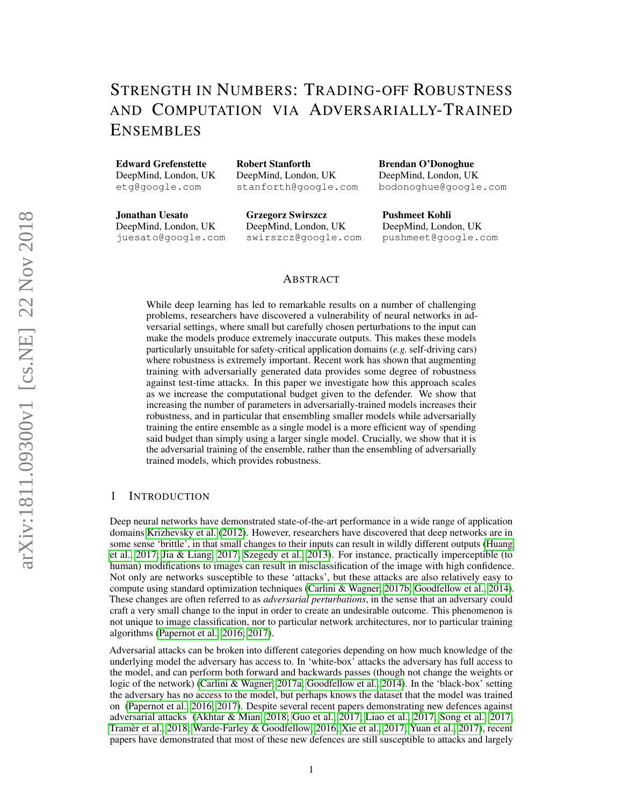# STRENGTH IN NUMBERS: TRADING-OFF ROBUSTNESS AND COMPUTATION VIA ADVERSARIALLY-TRAINED ENSEMBLES

Edward Grefenstette

DeepMind, London, UK etg@google.com

Robert Stanforth DeepMind, London, UK stanforth@google.com

Jonathan Uesato DeepMind, London, UK juesato@google.com Grzegorz Swirszcz DeepMind, London, UK swirszcz@google.com

Brendan O'Donoghue DeepMind, London, UK bodonoghue@google.com

Pushmeet Kohli DeepMind, London, UK pushmeet@google.com

## ABSTRACT

While deep learning has led to remarkable results on a number of challenging problems, researchers have discovered a vulnerability of neural networks in adversarial settings, where small but carefully chosen perturbations to the input can make the models produce extremely inaccurate outputs. This makes these models particularly unsuitable for safety-critical application domains (*e.g.* self-driving cars) where robustness is extremely important. Recent work has shown that augmenting training with adversarially generated data provides some degree of robustness against test-time attacks. In this paper we investigate how this approach scales as we increase the computational budget given to the defender. We show that increasing the number of parameters in adversarially-trained models increases their robustness, and in particular that ensembling smaller models while adversarially training the entire ensemble as a single model is a more efficient way of spending said budget than simply using a larger single model. Crucially, we show that it is the adversarial training of the ensemble, rather than the ensembling of adversarially trained models, which provides robustness.

## 1 INTRODUCTION

Deep neural networks have demonstrated state-of-the-art performance in a wide range of application domains [Krizhevsky et al.](#page-8-0) [\(2012\)](#page-8-0). However, researchers have discovered that deep networks are in some sense 'brittle', in that small changes to their inputs can result in wildly different outputs [\(Huang](#page-8-1) [et al., 2017;](#page-8-1) [Jia & Liang, 2017;](#page-8-2) [Szegedy et al., 2013\)](#page-8-3). For instance, practically imperceptible (to human) modifications to images can result in misclassification of the image with high confidence. Not only are networks susceptible to these 'attacks', but these attacks are also relatively easy to compute using standard optimization techniques [\(Carlini & Wagner, 2017b;](#page-7-0) [Goodfellow et al., 2014\)](#page-7-1). These changes are often referred to as *adversarial perturbations*, in the sense that an adversary could craft a very small change to the input in order to create an undesirable outcome. This phenomenon is not unique to image classification, nor to particular network architectures, nor to particular training algorithms [\(Papernot et al., 2016;](#page-8-4) [2017\)](#page-8-5).

Adversarial attacks can be broken into different categories depending on how much knowledge of the underlying model the adversary has access to. In 'white-box' attacks the adversary has full access to the model, and can perform both forward and backwards passes (though not change the weights or logic of the network) [\(Carlini & Wagner, 2017a;](#page-7-2) [Goodfellow et al., 2014\)](#page-7-1). In the 'black-box' setting the adversary has no access to the model, but perhaps knows the dataset that the model was trained on [\(Papernot et al., 2016;](#page-8-4) [2017\)](#page-8-5). Despite several recent papers demonstrating new defences against adversarial attacks [\(Akhtar & Mian, 2018;](#page-7-3) [Guo et al., 2017;](#page-7-4) [Liao et al., 2017;](#page-8-6) [Song et al., 2017;](#page-8-7) [Tramer et al., 2018;](#page-9-0) [Warde-Farley & Goodfellow, 2016;](#page-9-1) [Xie et al., 2017;](#page-9-2) [Yuan et al., 2017\)](#page-9-3), recent ` papers have demonstrated that most of these new defences are still susceptible to attacks and largely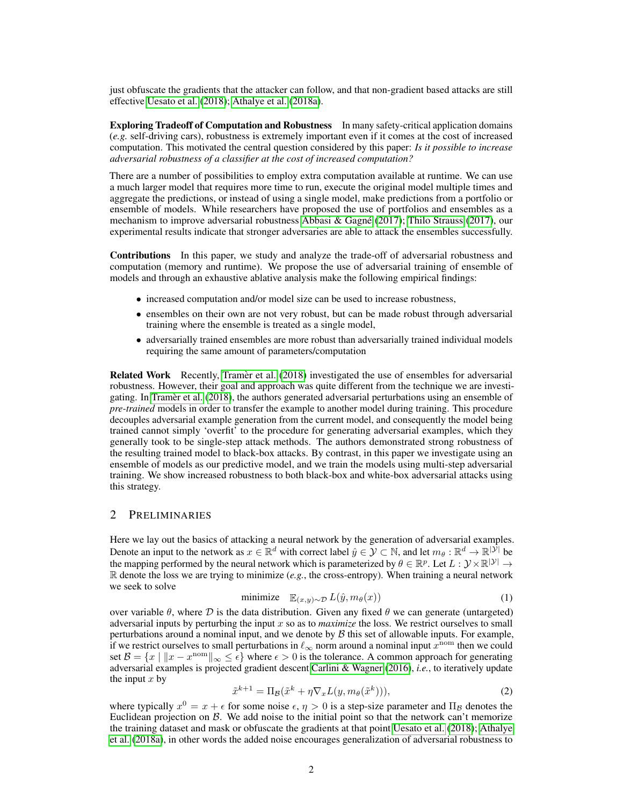just obfuscate the gradients that the attacker can follow, and that non-gradient based attacks are still effective [Uesato et al.](#page-9-4) [\(2018\)](#page-9-4); [Athalye et al.](#page-7-5) [\(2018a\)](#page-7-5).

Exploring Tradeoff of Computation and Robustness In many safety-critical application domains (*e.g.* self-driving cars), robustness is extremely important even if it comes at the cost of increased computation. This motivated the central question considered by this paper: *Is it possible to increase adversarial robustness of a classifier at the cost of increased computation?*

There are a number of possibilities to employ extra computation available at runtime. We can use a much larger model that requires more time to run, execute the original model multiple times and aggregate the predictions, or instead of using a single model, make predictions from a portfolio or ensemble of models. While researchers have proposed the use of portfolios and ensembles as a mechanism to improve adversarial robustness Abbasi & Gagné [\(2017\)](#page-9-5); [Thilo Strauss](#page-9-5) (2017), our experimental results indicate that stronger adversaries are able to attack the ensembles successfully.

Contributions In this paper, we study and analyze the trade-off of adversarial robustness and computation (memory and runtime). We propose the use of adversarial training of ensemble of models and through an exhaustive ablative analysis make the following empirical findings:

- increased computation and/or model size can be used to increase robustness,
- ensembles on their own are not very robust, but can be made robust through adversarial training where the ensemble is treated as a single model,
- adversarially trained ensembles are more robust than adversarially trained individual models requiring the same amount of parameters/computation

Related Work Recently, [Tramer et al.](#page-9-0) [\(2018\)](#page-9-0) investigated the use of ensembles for adversarial robustness. However, their goal and approach was quite different from the technique we are investi-gating. In [Tramer et al.](#page-9-0) [\(2018\)](#page-9-0), the authors generated adversarial perturbations using an ensemble of *pre-trained* models in order to transfer the example to another model during training. This procedure decouples adversarial example generation from the current model, and consequently the model being trained cannot simply 'overfit' to the procedure for generating adversarial examples, which they generally took to be single-step attack methods. The authors demonstrated strong robustness of the resulting trained model to black-box attacks. By contrast, in this paper we investigate using an ensemble of models as our predictive model, and we train the models using multi-step adversarial training. We show increased robustness to both black-box and white-box adversarial attacks using this strategy.

## 2 PRELIMINARIES

Here we lay out the basics of attacking a neural network by the generation of adversarial examples. Denote an input to the network as  $x \in \mathbb{R}^d$  with correct label  $\hat{y} \in \mathcal{Y} \subset \mathbb{N}$ , and let  $m_\theta : \mathbb{R}^d \to \mathbb{R}^{|\mathcal{Y}|}$  be the mapping performed by the neural network which is parameterized by  $\theta \in \mathbb{R}^p$ . Let  $L: \mathcal{Y} \times \mathbb{R}^{|\mathcal{Y}|} \to$  $\mathbb R$  denote the loss we are trying to minimize (*e.g.*, the cross-entropy). When training a neural network we seek to solve

<span id="page-1-0"></span>
$$
\text{minimize} \quad \mathbb{E}_{(x,y)\sim\mathcal{D}} \, L(\hat{y}, m_{\theta}(x)) \tag{1}
$$

over variable  $\theta$ , where  $\mathcal D$  is the data distribution. Given any fixed  $\theta$  we can generate (untargeted) adversarial inputs by perturbing the input x so as to *maximize* the loss. We restrict ourselves to small perturbations around a nominal input, and we denote by  $\beta$  this set of allowable inputs. For example, if we restrict ourselves to small perturbations in  $\ell_{\infty}$  norm around a nominal input  $x^{\text{nom}}$  then we could set  $\mathcal{B} = \{x \mid ||x - x^{\text{nom}}||_{\infty} \leq \epsilon\}$  where  $\epsilon > 0$  is the tolerance. A common approach for generating adversarial examples is projected gradient descent [Carlini & Wagner](#page-7-7) [\(2016\)](#page-7-7), *i.e.*, to iteratively update the input  $x$  by

<span id="page-1-1"></span>
$$
\tilde{x}^{k+1} = \Pi_{\mathcal{B}}(\tilde{x}^k + \eta \nabla_x L(y, m_\theta(\tilde{x}^k))),\tag{2}
$$

where typically  $x^0 = x + \epsilon$  for some noise  $\epsilon, \eta > 0$  is a step-size parameter and  $\Pi_B$  denotes the Euclidean projection on  $\beta$ . We add noise to the initial point so that the network can't memorize the training dataset and mask or obfuscate the gradients at that point [Uesato et al.](#page-9-4) [\(2018\)](#page-9-4); [Athalye](#page-7-5) [et al.](#page-7-5) [\(2018a\)](#page-7-5), in other words the added noise encourages generalization of adversarial robustness to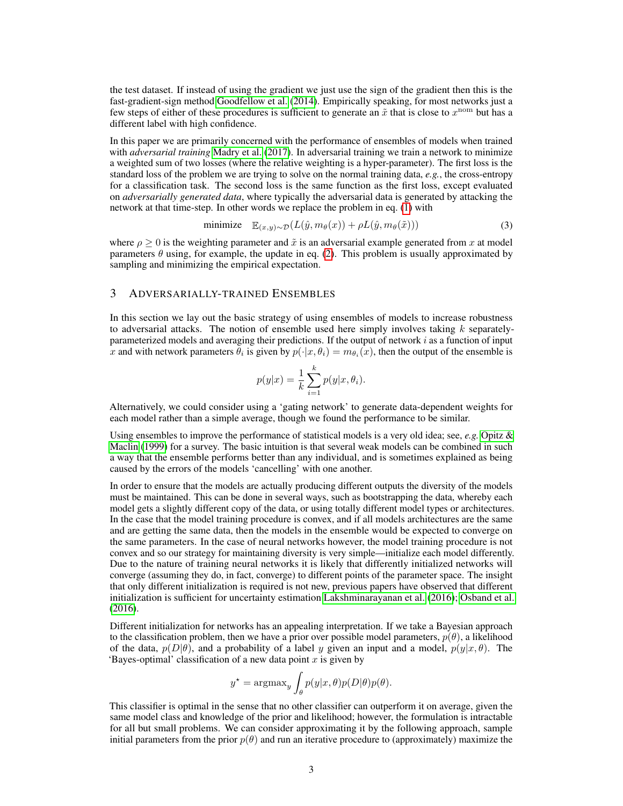the test dataset. If instead of using the gradient we just use the sign of the gradient then this is the fast-gradient-sign method [Goodfellow et al.](#page-7-1) [\(2014\)](#page-7-1). Empirically speaking, for most networks just a few steps of either of these procedures is sufficient to generate an  $\tilde{x}$  that is close to  $x^{nom}$  but has a different label with high confidence.

In this paper we are primarily concerned with the performance of ensembles of models when trained with *adversarial training* [Madry et al.](#page-8-8) [\(2017\)](#page-8-8). In adversarial training we train a network to minimize a weighted sum of two losses (where the relative weighting is a hyper-parameter). The first loss is the standard loss of the problem we are trying to solve on the normal training data, *e.g.*, the cross-entropy for a classification task. The second loss is the same function as the first loss, except evaluated on *adversarially generated data*, where typically the adversarial data is generated by attacking the network at that time-step. In other words we replace the problem in eq. [\(1\)](#page-1-0) with

<span id="page-2-0"></span>
$$
\text{minimize} \quad \mathbb{E}_{(x,y)\sim\mathcal{D}}(L(\hat{y}, m_{\theta}(x)) + \rho L(\hat{y}, m_{\theta}(\tilde{x}))) \tag{3}
$$

where  $\rho \ge 0$  is the weighting parameter and  $\tilde{x}$  is an adversarial example generated from x at model parameters  $\theta$  using, for example, the update in eq. [\(2\)](#page-1-1). This problem is usually approximated by sampling and minimizing the empirical expectation.

## 3 ADVERSARIALLY-TRAINED ENSEMBLES

In this section we lay out the basic strategy of using ensembles of models to increase robustness to adversarial attacks. The notion of ensemble used here simply involves taking  $k$  separatelyparameterized models and averaging their predictions. If the output of network  $i$  as a function of input x and with network parameters  $\theta_i$  is given by  $p(\cdot|x, \theta_i) = m_{\theta_i}(x)$ , then the output of the ensemble is

$$
p(y|x) = \frac{1}{k} \sum_{i=1}^{k} p(y|x, \theta_i).
$$

Alternatively, we could consider using a 'gating network' to generate data-dependent weights for each model rather than a simple average, though we found the performance to be similar.

Using ensembles to improve the performance of statistical models is a very old idea; see, *e.g.* [Opitz &](#page-8-9) [Maclin](#page-8-9) [\(1999\)](#page-8-9) for a survey. The basic intuition is that several weak models can be combined in such a way that the ensemble performs better than any individual, and is sometimes explained as being caused by the errors of the models 'cancelling' with one another.

In order to ensure that the models are actually producing different outputs the diversity of the models must be maintained. This can be done in several ways, such as bootstrapping the data, whereby each model gets a slightly different copy of the data, or using totally different model types or architectures. In the case that the model training procedure is convex, and if all models architectures are the same and are getting the same data, then the models in the ensemble would be expected to converge on the same parameters. In the case of neural networks however, the model training procedure is not convex and so our strategy for maintaining diversity is very simple—initialize each model differently. Due to the nature of training neural networks it is likely that differently initialized networks will converge (assuming they do, in fact, converge) to different points of the parameter space. The insight that only different initialization is required is not new, previous papers have observed that different initialization is sufficient for uncertainty estimation [Lakshminarayanan et al.](#page-8-10) [\(2016\)](#page-8-10); [Osband et al.](#page-8-11) [\(2016\)](#page-8-11).

Different initialization for networks has an appealing interpretation. If we take a Bayesian approach to the classification problem, then we have a prior over possible model parameters,  $p(\theta)$ , a likelihood of the data,  $p(D|\theta)$ , and a probability of a label y given an input and a model,  $p(y|x, \theta)$ . The 'Bayes-optimal' classification of a new data point  $x$  is given by

$$
y^* = \text{argmax}_y \int_{\theta} p(y|x,\theta)p(D|\theta)p(\theta).
$$

This classifier is optimal in the sense that no other classifier can outperform it on average, given the same model class and knowledge of the prior and likelihood; however, the formulation is intractable for all but small problems. We can consider approximating it by the following approach, sample initial parameters from the prior  $p(\theta)$  and run an iterative procedure to (approximately) maximize the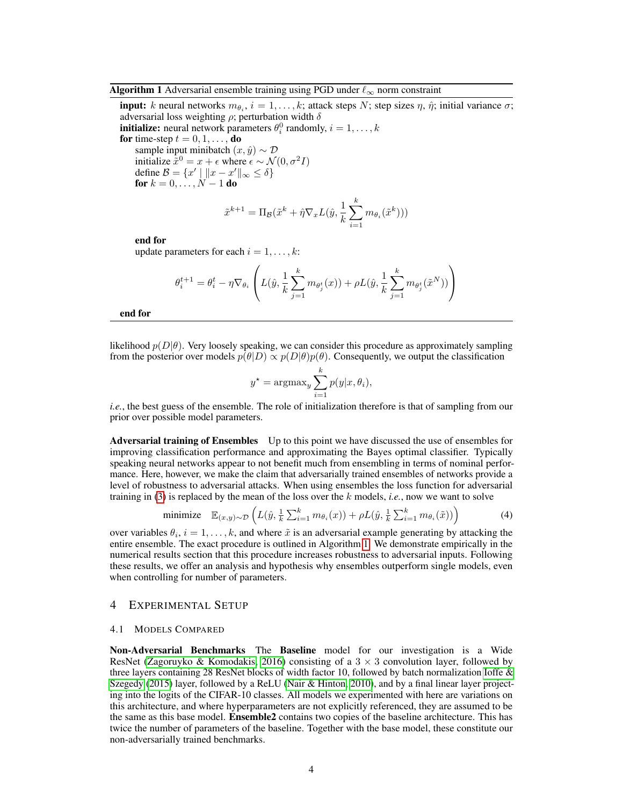#### <span id="page-3-0"></span>Algorithm 1 Adversarial ensemble training using PGD under  $\ell_{\infty}$  norm constraint

**input:** k neural networks  $m_{\theta_i}$ ,  $i = 1, ..., k$ ; attack steps N; step sizes  $\eta$ ,  $\hat{\eta}$ ; initial variance  $\sigma$ ; adversarial loss weighting  $\rho$ ; perturbation width  $\delta$ **initialize:** neural network parameters  $\theta_i^0$  randomly,  $i = 1, ..., k$ 

for time-step  $t = 0, 1, \ldots,$  do

sample input minibatch  $(x, \hat{y}) \sim \mathcal{D}$ initialize  $\tilde{x}^0 = x + \epsilon$  where  $\epsilon \sim \mathcal{N}(0, \sigma^2 I)$ define  $\mathcal{B} = \{x' \mid ||x - x'||_{\infty} \le \delta\}$ for  $k = 0, ..., N - 1$  do

$$
\tilde{x}^{k+1} = \Pi_{\mathcal{B}}(\tilde{x}^k + \hat{\eta} \nabla_x L(\hat{y}, \frac{1}{k} \sum_{i=1}^k m_{\theta_i}(\tilde{x}^k)))
$$

end for

update parameters for each  $i = 1, \ldots, k$ :

$$
\theta_i^{t+1} = \theta_i^t - \eta \nabla_{\theta_i} \left( L(\hat{y}, \frac{1}{k} \sum_{j=1}^k m_{\theta_j^t}(x)) + \rho L(\hat{y}, \frac{1}{k} \sum_{j=1}^k m_{\theta_j^t}(\tilde{x}^N)) \right)
$$

end for

likelihood  $p(D|\theta)$ . Very loosely speaking, we can consider this procedure as approximately sampling from the posterior over models  $p(\theta|D) \propto p(D|\theta)p(\theta)$ . Consequently, we output the classification

$$
y^* = \operatorname{argmax}_y \sum_{i=1}^k p(y|x, \theta_i),
$$

*i.e.*, the best guess of the ensemble. The role of initialization therefore is that of sampling from our prior over possible model parameters.

Adversarial training of Ensembles Up to this point we have discussed the use of ensembles for improving classification performance and approximating the Bayes optimal classifier. Typically speaking neural networks appear to not benefit much from ensembling in terms of nominal performance. Here, however, we make the claim that adversarially trained ensembles of networks provide a level of robustness to adversarial attacks. When using ensembles the loss function for adversarial training in [\(3\)](#page-2-0) is replaced by the mean of the loss over the k models, *i.e.*, now we want to solve

minimize 
$$
\mathbb{E}_{(x,y)\sim\mathcal{D}}\left(L(\hat{y}, \frac{1}{k}\sum_{i=1}^k m_{\theta_i}(x)) + \rho L(\hat{y}, \frac{1}{k}\sum_{i=1}^k m_{\theta_i}(\tilde{x}))\right)
$$
 (4)

over variables  $\theta_i$ ,  $i = 1, ..., k$ , and where  $\tilde{x}$  is an adversarial example generating by attacking the entire ensemble. The exact procedure is outlined in Algorithm [1.](#page-3-0) We demonstrate empirically in the numerical results section that this procedure increases robustness to adversarial inputs. Following these results, we offer an analysis and hypothesis why ensembles outperform single models, even when controlling for number of parameters.

### 4 EXPERIMENTAL SETUP

#### 4.1 MODELS COMPARED

Non-Adversarial Benchmarks The Baseline model for our investigation is a Wide ResNet [\(Zagoruyko & Komodakis, 2016\)](#page-9-6) consisting of a  $3 \times 3$  convolution layer, followed by three layers containing 28 ResNet blocks of width factor 10, followed by batch normalization [Ioffe &](#page-8-12) [Szegedy](#page-8-12) [\(2015\)](#page-8-12) layer, followed by a ReLU [\(Nair & Hinton, 2010\)](#page-8-13), and by a final linear layer projecting into the logits of the CIFAR-10 classes. All models we experimented with here are variations on this architecture, and where hyperparameters are not explicitly referenced, they are assumed to be the same as this base model. Ensemble2 contains two copies of the baseline architecture. This has twice the number of parameters of the baseline. Together with the base model, these constitute our non-adversarially trained benchmarks.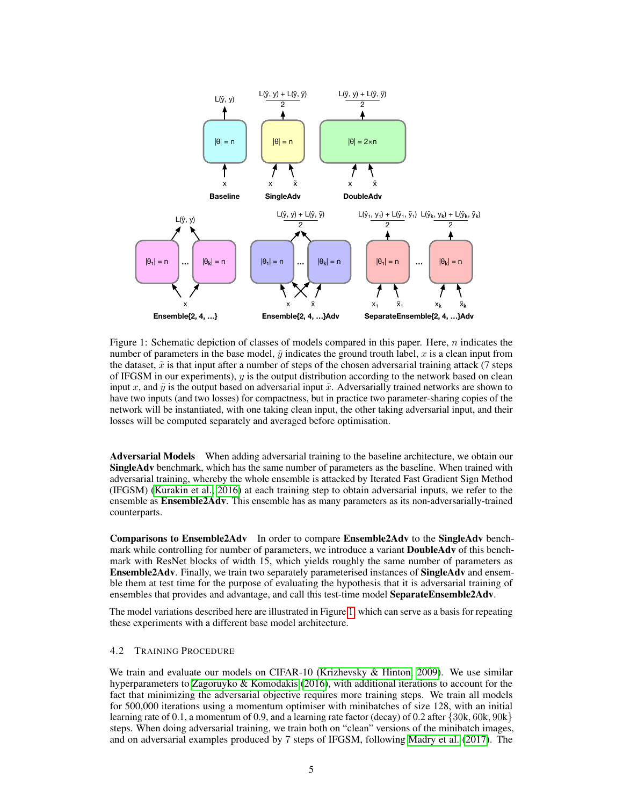<span id="page-4-0"></span>

Figure 1: Schematic depiction of classes of models compared in this paper. Here,  $n$  indicates the number of parameters in the base model,  $\hat{y}$  indicates the ground trouth label, x is a clean input from the dataset,  $\tilde{x}$  is that input after a number of steps of the chosen adversarial training attack (7 steps of IFGSM in our experiments),  $y$  is the output distribution according to the network based on clean input x, and  $\tilde{y}$  is the output based on adversarial input  $\tilde{x}$ . Adversarially trained networks are shown to have two inputs (and two losses) for compactness, but in practice two parameter-sharing copies of the network will be instantiated, with one taking clean input, the other taking adversarial input, and their losses will be computed separately and averaged before optimisation.

Adversarial Models When adding adversarial training to the baseline architecture, we obtain our SingleAdv benchmark, which has the same number of parameters as the baseline. When trained with adversarial training, whereby the whole ensemble is attacked by Iterated Fast Gradient Sign Method (IFGSM) [\(Kurakin et al., 2016\)](#page-8-14) at each training step to obtain adversarial inputs, we refer to the ensemble as **Ensemble2Adv**. This ensemble has as many parameters as its non-adversarially-trained counterparts.

Comparisons to Ensemble2Adv In order to compare Ensemble2Adv to the SingleAdv benchmark while controlling for number of parameters, we introduce a variant **DoubleAdv** of this benchmark with ResNet blocks of width 15, which yields roughly the same number of parameters as Ensemble2Adv. Finally, we train two separately parameterised instances of SingleAdv and ensemble them at test time for the purpose of evaluating the hypothesis that it is adversarial training of ensembles that provides and advantage, and call this test-time model SeparateEnsemble2Adv.

The model variations described here are illustrated in Figure [1,](#page-4-0) which can serve as a basis for repeating these experiments with a different base model architecture.

#### 4.2 TRAINING PROCEDURE

We train and evaluate our models on CIFAR-10 [\(Krizhevsky & Hinton, 2009\)](#page-8-15). We use similar hyperparameters to [Zagoruyko & Komodakis](#page-9-6) [\(2016\)](#page-9-6), with additional iterations to account for the fact that minimizing the adversarial objective requires more training steps. We train all models for 500,000 iterations using a momentum optimiser with minibatches of size 128, with an initial learning rate of 0.1, a momentum of 0.9, and a learning rate factor (decay) of 0.2 after {30k, 60k, 90k} steps. When doing adversarial training, we train both on "clean" versions of the minibatch images, and on adversarial examples produced by 7 steps of IFGSM, following [Madry et al.](#page-8-8) [\(2017\)](#page-8-8). The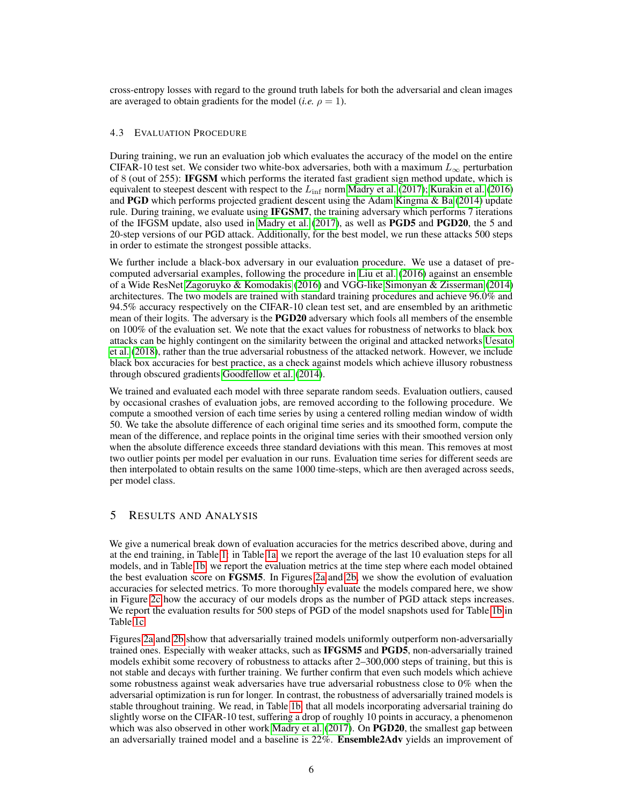cross-entropy losses with regard to the ground truth labels for both the adversarial and clean images are averaged to obtain gradients for the model (*i.e.*  $\rho = 1$ ).

#### 4.3 EVALUATION PROCEDURE

During training, we run an evaluation job which evaluates the accuracy of the model on the entire CIFAR-10 test set. We consider two white-box adversaries, both with a maximum  $L_{\infty}$  perturbation of 8 (out of 255): IFGSM which performs the iterated fast gradient sign method update, which is equivalent to steepest descent with respect to the  $L_{\text{inf}}$  norm [Madry et al.](#page-8-8) [\(2017\)](#page-8-8); [Kurakin et al.](#page-8-14) [\(2016\)](#page-8-14) and PGD which performs projected gradient descent using the Adam [Kingma & Ba](#page-8-16) [\(2014\)](#page-8-16) update rule. During training, we evaluate using IFGSM7, the training adversary which performs 7 iterations of the IFGSM update, also used in [Madry et al.](#page-8-8) [\(2017\)](#page-8-8), as well as PGD5 and PGD20, the 5 and 20-step versions of our PGD attack. Additionally, for the best model, we run these attacks 500 steps in order to estimate the strongest possible attacks.

We further include a black-box adversary in our evaluation procedure. We use a dataset of precomputed adversarial examples, following the procedure in [Liu et al.](#page-8-17) [\(2016\)](#page-8-17) against an ensemble of a Wide ResNet [Zagoruyko & Komodakis](#page-9-6) [\(2016\)](#page-9-6) and VGG-like [Simonyan & Zisserman](#page-8-18) [\(2014\)](#page-8-18) architectures. The two models are trained with standard training procedures and achieve 96.0% and 94.5% accuracy respectively on the CIFAR-10 clean test set, and are ensembled by an arithmetic mean of their logits. The adversary is the **PGD20** adversary which fools all members of the ensemble on 100% of the evaluation set. We note that the exact values for robustness of networks to black box attacks can be highly contingent on the similarity between the original and attacked networks [Uesato](#page-9-4) [et al.](#page-9-4) [\(2018\)](#page-9-4), rather than the true adversarial robustness of the attacked network. However, we include black box accuracies for best practice, as a check against models which achieve illusory robustness through obscured gradients [Goodfellow et al.](#page-7-1) [\(2014\)](#page-7-1).

We trained and evaluated each model with three separate random seeds. Evaluation outliers, caused by occasional crashes of evaluation jobs, are removed according to the following procedure. We compute a smoothed version of each time series by using a centered rolling median window of width 50. We take the absolute difference of each original time series and its smoothed form, compute the mean of the difference, and replace points in the original time series with their smoothed version only when the absolute difference exceeds three standard deviations with this mean. This removes at most two outlier points per model per evaluation in our runs. Evaluation time series for different seeds are then interpolated to obtain results on the same 1000 time-steps, which are then averaged across seeds, per model class.

## 5 RESULTS AND ANALYSIS

We give a numerical break down of evaluation accuracies for the metrics described above, during and at the end training, in Table [1:](#page-6-0) in Table [1a,](#page-6-0) we report the average of the last 10 evaluation steps for all models, and in Table [1b,](#page-6-0) we report the evaluation metrics at the time step where each model obtained the best evaluation score on FGSM5. In Figures [2a](#page-7-8) and [2b,](#page-7-8) we show the evolution of evaluation accuracies for selected metrics. To more thoroughly evaluate the models compared here, we show in Figure [2c](#page-7-8) how the accuracy of our models drops as the number of PGD attack steps increases. We report the evaluation results for 500 steps of PGD of the model snapshots used for Table [1b](#page-6-0) in Table [1c.](#page-6-0)

Figures [2a](#page-7-8) and [2b](#page-7-8) show that adversarially trained models uniformly outperform non-adversarially trained ones. Especially with weaker attacks, such as IFGSM5 and PGD5, non-adversarially trained models exhibit some recovery of robustness to attacks after 2–300,000 steps of training, but this is not stable and decays with further training. We further confirm that even such models which achieve some robustness against weak adversaries have true adversarial robustness close to 0% when the adversarial optimization is run for longer. In contrast, the robustness of adversarially trained models is stable throughout training. We read, in Table [1b,](#page-6-0) that all models incorporating adversarial training do slightly worse on the CIFAR-10 test, suffering a drop of roughly 10 points in accuracy, a phenomenon which was also observed in other work [Madry et al.](#page-8-8) [\(2017\)](#page-8-8). On **PGD20**, the smallest gap between an adversarially trained model and a baseline is 22%. Ensemble2Adv yields an improvement of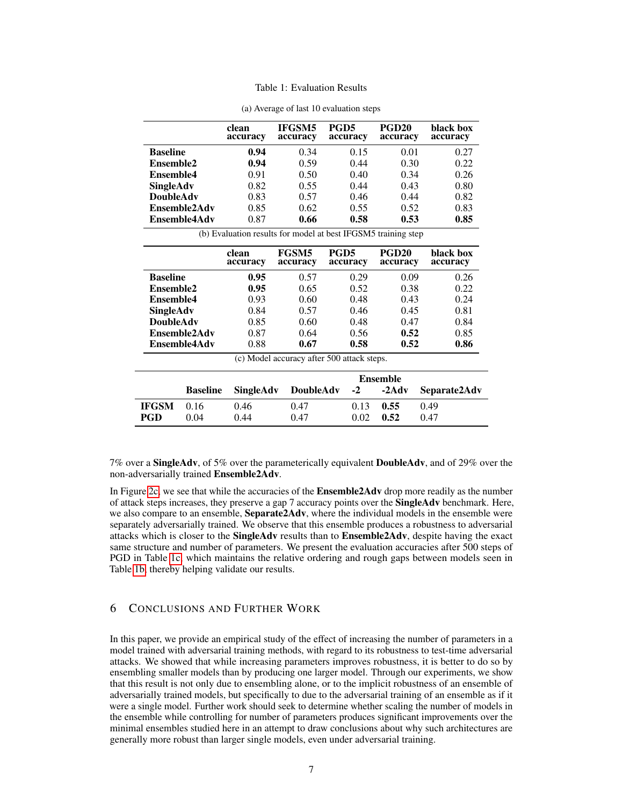|  |  |  | Table 1: Evaluation Results |
|--|--|--|-----------------------------|
|--|--|--|-----------------------------|

<span id="page-6-0"></span>

|                                                               |                 | clean<br>accuracy | IFGSM5<br>accuracy       | PGD <sub>5</sub><br>accuracy               | <b>PGD20</b><br>accuracy | black box<br>accuracy |
|---------------------------------------------------------------|-----------------|-------------------|--------------------------|--------------------------------------------|--------------------------|-----------------------|
| <b>Baseline</b>                                               |                 | 0.94              | 0.34                     | 0.15                                       | 0.01                     | 0.27                  |
| Ensemble2                                                     |                 | 0.94              | 0.59                     | 0.44                                       | 0.30                     | 0.22                  |
| <b>Ensemble4</b>                                              |                 | 0.91              | 0.50                     | 0.40                                       | 0.34                     | 0.26                  |
| SingleAdv                                                     |                 | 0.82              | 0.55                     | 0.44                                       | 0.43                     | 0.80                  |
| <b>DoubleAdv</b>                                              |                 | 0.83              | 0.57                     | 0.46                                       | 0.44                     | 0.82                  |
|                                                               | Ensemble2Adv    | 0.85              | 0.62                     | 0.55                                       | 0.52                     | 0.83                  |
|                                                               | Ensemble4Adv    | 0.87              | 0.66                     | 0.58                                       | 0.53                     | 0.85                  |
| (b) Evaluation results for model at best IFGSM5 training step |                 |                   |                          |                                            |                          |                       |
|                                                               |                 | clean<br>accuracy | <b>FGSM5</b><br>accuracy | PGD5<br>accuracy                           | <b>PGD20</b><br>accuracy | black box<br>accuracy |
| <b>Baseline</b>                                               |                 | 0.95              | 0.57                     | 0.29                                       | 0.09                     | 0.26                  |
| Ensemble2                                                     |                 | 0.95              | 0.65                     | 0.52                                       | 0.38                     | 0.22                  |
| <b>Ensemble4</b>                                              |                 | 0.93              | 0.60                     | 0.48                                       | 0.43                     | 0.24                  |
| SingleAdv                                                     |                 | 0.84              | 0.57                     | 0.46                                       | 0.45                     | 0.81                  |
| <b>DoubleAdv</b>                                              |                 | 0.85              | 0.60                     | 0.48                                       | 0.47                     | 0.84                  |
|                                                               | Ensemble2Adv    | 0.87              | 0.64                     | 0.56                                       | 0.52                     | 0.85                  |
|                                                               | Ensemble4Adv    | 0.88              | 0.67                     | 0.58                                       | 0.52                     | 0.86                  |
|                                                               |                 |                   |                          | (c) Model accuracy after 500 attack steps. |                          |                       |
|                                                               |                 | <b>Ensemble</b>   |                          |                                            |                          |                       |
|                                                               | <b>Baseline</b> | <b>SingleAdv</b>  | <b>DoubleAdv</b>         | $-2$                                       | $-2$ Adv                 | Separate2Adv          |
| IFGSM                                                         | 0.16            | 0.46              | 0.47                     | 0.13                                       | 0.55                     | 0.49                  |
| PGD                                                           | 0.04            | 0.44              | 0.47                     | 0.02                                       | 0.52                     | 0.47                  |

(a) Average of last 10 evaluation steps

7% over a SingleAdv, of 5% over the parameterically equivalent DoubleAdv, and of 29% over the non-adversarially trained Ensemble2Adv.

In Figure [2c,](#page-7-8) we see that while the accuracies of the **Ensemble2Adv** drop more readily as the number of attack steps increases, they preserve a gap 7 accuracy points over the SingleAdv benchmark. Here, we also compare to an ensemble, **Separate2Adv**, where the individual models in the ensemble were separately adversarially trained. We observe that this ensemble produces a robustness to adversarial attacks which is closer to the **SingleAdv** results than to **Ensemble2Adv**, despite having the exact same structure and number of parameters. We present the evaluation accuracies after 500 steps of PGD in Table [1c,](#page-6-0) which maintains the relative ordering and rough gaps between models seen in Table [1b,](#page-6-0) thereby helping validate our results.

## 6 CONCLUSIONS AND FURTHER WORK

In this paper, we provide an empirical study of the effect of increasing the number of parameters in a model trained with adversarial training methods, with regard to its robustness to test-time adversarial attacks. We showed that while increasing parameters improves robustness, it is better to do so by ensembling smaller models than by producing one larger model. Through our experiments, we show that this result is not only due to ensembling alone, or to the implicit robustness of an ensemble of adversarially trained models, but specifically to due to the adversarial training of an ensemble as if it were a single model. Further work should seek to determine whether scaling the number of models in the ensemble while controlling for number of parameters produces significant improvements over the minimal ensembles studied here in an attempt to draw conclusions about why such architectures are generally more robust than larger single models, even under adversarial training.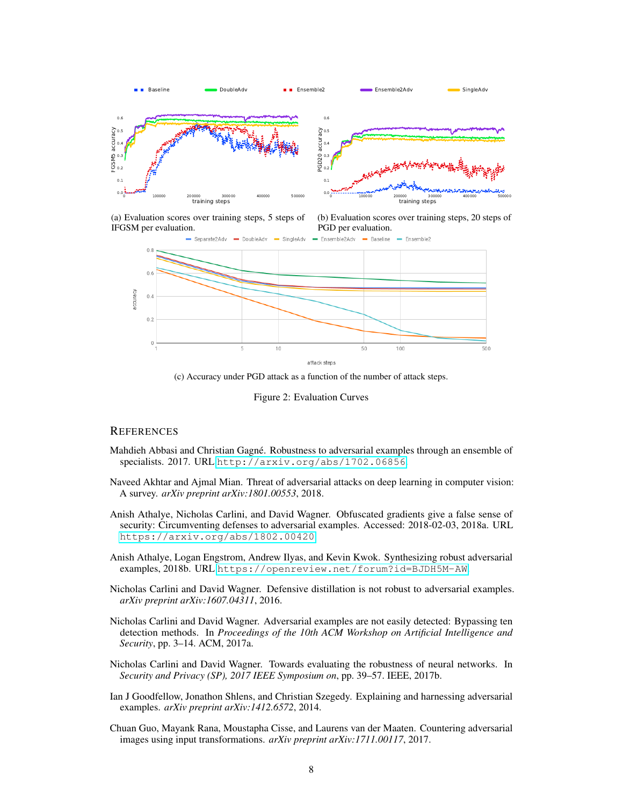<span id="page-7-8"></span>

(a) Evaluation scores over training steps, 5 steps of IFGSM per evaluation.

(b) Evaluation scores over training steps, 20 steps of PGD per evaluation.



(c) Accuracy under PGD attack as a function of the number of attack steps.

Figure 2: Evaluation Curves

## **REFERENCES**

- <span id="page-7-6"></span>Mahdieh Abbasi and Christian Gagné. Robustness to adversarial examples through an ensemble of specialists. 2017. URL <http://arxiv.org/abs/1702.06856>.
- <span id="page-7-3"></span>Naveed Akhtar and Ajmal Mian. Threat of adversarial attacks on deep learning in computer vision: A survey. *arXiv preprint arXiv:1801.00553*, 2018.
- <span id="page-7-5"></span>Anish Athalye, Nicholas Carlini, and David Wagner. Obfuscated gradients give a false sense of security: Circumventing defenses to adversarial examples. Accessed: 2018-02-03, 2018a. URL <https://arxiv.org/abs/1802.00420>.
- <span id="page-7-9"></span>Anish Athalye, Logan Engstrom, Andrew Ilyas, and Kevin Kwok. Synthesizing robust adversarial examples, 2018b. URL <https://openreview.net/forum?id=BJDH5M-AW>.
- <span id="page-7-7"></span>Nicholas Carlini and David Wagner. Defensive distillation is not robust to adversarial examples. *arXiv preprint arXiv:1607.04311*, 2016.
- <span id="page-7-2"></span>Nicholas Carlini and David Wagner. Adversarial examples are not easily detected: Bypassing ten detection methods. In *Proceedings of the 10th ACM Workshop on Artificial Intelligence and Security*, pp. 3–14. ACM, 2017a.
- <span id="page-7-0"></span>Nicholas Carlini and David Wagner. Towards evaluating the robustness of neural networks. In *Security and Privacy (SP), 2017 IEEE Symposium on*, pp. 39–57. IEEE, 2017b.
- <span id="page-7-1"></span>Ian J Goodfellow, Jonathon Shlens, and Christian Szegedy. Explaining and harnessing adversarial examples. *arXiv preprint arXiv:1412.6572*, 2014.
- <span id="page-7-4"></span>Chuan Guo, Mayank Rana, Moustapha Cisse, and Laurens van der Maaten. Countering adversarial images using input transformations. *arXiv preprint arXiv:1711.00117*, 2017.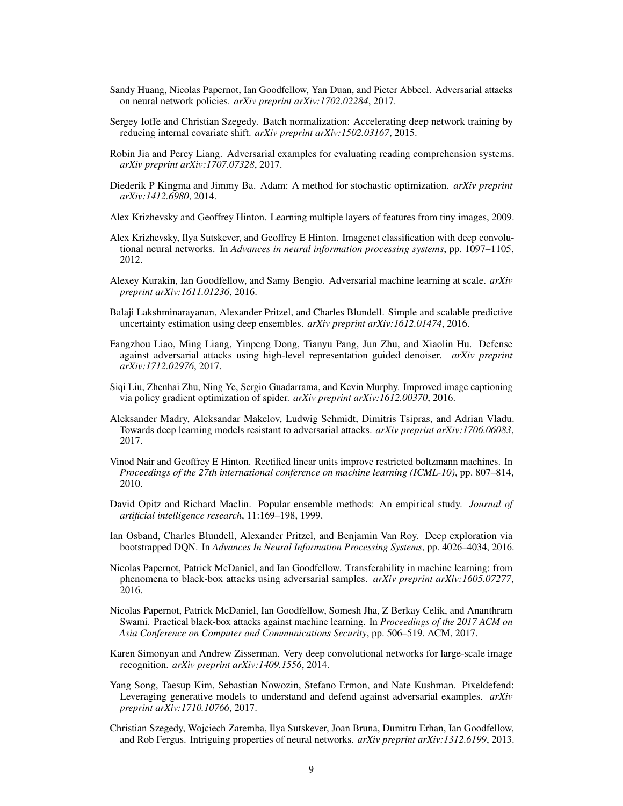- <span id="page-8-1"></span>Sandy Huang, Nicolas Papernot, Ian Goodfellow, Yan Duan, and Pieter Abbeel. Adversarial attacks on neural network policies. *arXiv preprint arXiv:1702.02284*, 2017.
- <span id="page-8-12"></span>Sergey Ioffe and Christian Szegedy. Batch normalization: Accelerating deep network training by reducing internal covariate shift. *arXiv preprint arXiv:1502.03167*, 2015.
- <span id="page-8-2"></span>Robin Jia and Percy Liang. Adversarial examples for evaluating reading comprehension systems. *arXiv preprint arXiv:1707.07328*, 2017.
- <span id="page-8-16"></span>Diederik P Kingma and Jimmy Ba. Adam: A method for stochastic optimization. *arXiv preprint arXiv:1412.6980*, 2014.
- <span id="page-8-15"></span>Alex Krizhevsky and Geoffrey Hinton. Learning multiple layers of features from tiny images, 2009.
- <span id="page-8-0"></span>Alex Krizhevsky, Ilya Sutskever, and Geoffrey E Hinton. Imagenet classification with deep convolutional neural networks. In *Advances in neural information processing systems*, pp. 1097–1105, 2012.
- <span id="page-8-14"></span>Alexey Kurakin, Ian Goodfellow, and Samy Bengio. Adversarial machine learning at scale. *arXiv preprint arXiv:1611.01236*, 2016.
- <span id="page-8-10"></span>Balaji Lakshminarayanan, Alexander Pritzel, and Charles Blundell. Simple and scalable predictive uncertainty estimation using deep ensembles. *arXiv preprint arXiv:1612.01474*, 2016.
- <span id="page-8-6"></span>Fangzhou Liao, Ming Liang, Yinpeng Dong, Tianyu Pang, Jun Zhu, and Xiaolin Hu. Defense against adversarial attacks using high-level representation guided denoiser. *arXiv preprint arXiv:1712.02976*, 2017.
- <span id="page-8-17"></span>Siqi Liu, Zhenhai Zhu, Ning Ye, Sergio Guadarrama, and Kevin Murphy. Improved image captioning via policy gradient optimization of spider. *arXiv preprint arXiv:1612.00370*, 2016.
- <span id="page-8-8"></span>Aleksander Madry, Aleksandar Makelov, Ludwig Schmidt, Dimitris Tsipras, and Adrian Vladu. Towards deep learning models resistant to adversarial attacks. *arXiv preprint arXiv:1706.06083*, 2017.
- <span id="page-8-13"></span>Vinod Nair and Geoffrey E Hinton. Rectified linear units improve restricted boltzmann machines. In *Proceedings of the 27th international conference on machine learning (ICML-10)*, pp. 807–814, 2010.
- <span id="page-8-9"></span>David Opitz and Richard Maclin. Popular ensemble methods: An empirical study. *Journal of artificial intelligence research*, 11:169–198, 1999.
- <span id="page-8-11"></span>Ian Osband, Charles Blundell, Alexander Pritzel, and Benjamin Van Roy. Deep exploration via bootstrapped DQN. In *Advances In Neural Information Processing Systems*, pp. 4026–4034, 2016.
- <span id="page-8-4"></span>Nicolas Papernot, Patrick McDaniel, and Ian Goodfellow. Transferability in machine learning: from phenomena to black-box attacks using adversarial samples. *arXiv preprint arXiv:1605.07277*, 2016.
- <span id="page-8-5"></span>Nicolas Papernot, Patrick McDaniel, Ian Goodfellow, Somesh Jha, Z Berkay Celik, and Ananthram Swami. Practical black-box attacks against machine learning. In *Proceedings of the 2017 ACM on Asia Conference on Computer and Communications Security*, pp. 506–519. ACM, 2017.
- <span id="page-8-18"></span>Karen Simonyan and Andrew Zisserman. Very deep convolutional networks for large-scale image recognition. *arXiv preprint arXiv:1409.1556*, 2014.
- <span id="page-8-7"></span>Yang Song, Taesup Kim, Sebastian Nowozin, Stefano Ermon, and Nate Kushman. Pixeldefend: Leveraging generative models to understand and defend against adversarial examples. *arXiv preprint arXiv:1710.10766*, 2017.
- <span id="page-8-3"></span>Christian Szegedy, Wojciech Zaremba, Ilya Sutskever, Joan Bruna, Dumitru Erhan, Ian Goodfellow, and Rob Fergus. Intriguing properties of neural networks. *arXiv preprint arXiv:1312.6199*, 2013.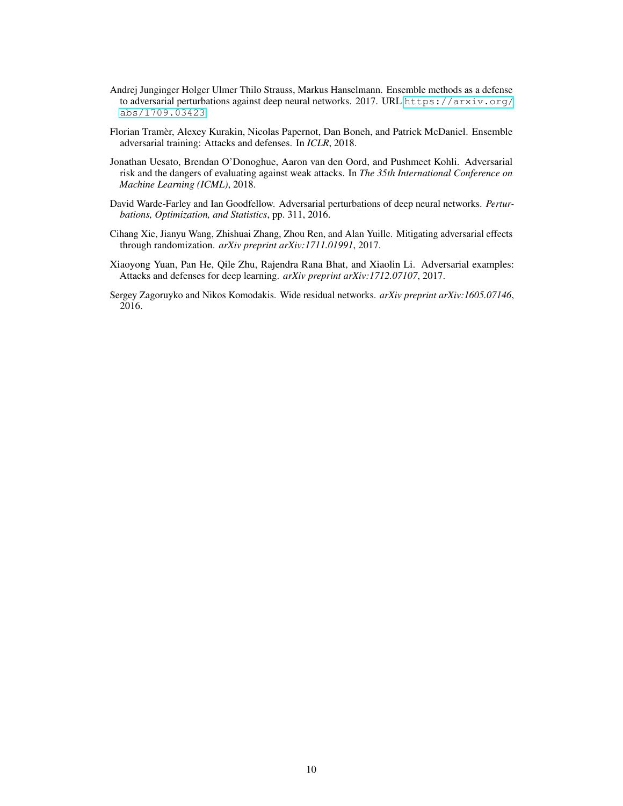- <span id="page-9-5"></span>Andrej Junginger Holger Ulmer Thilo Strauss, Markus Hanselmann. Ensemble methods as a defense to adversarial perturbations against deep neural networks. 2017. URL [https://arxiv.org/](https://arxiv.org/abs/1709.03423) [abs/1709.03423](https://arxiv.org/abs/1709.03423).
- <span id="page-9-0"></span>Florian Tramer, Alexey Kurakin, Nicolas Papernot, Dan Boneh, and Patrick McDaniel. Ensemble ` adversarial training: Attacks and defenses. In *ICLR*, 2018.
- <span id="page-9-4"></span>Jonathan Uesato, Brendan O'Donoghue, Aaron van den Oord, and Pushmeet Kohli. Adversarial risk and the dangers of evaluating against weak attacks. In *The 35th International Conference on Machine Learning (ICML)*, 2018.
- <span id="page-9-1"></span>David Warde-Farley and Ian Goodfellow. Adversarial perturbations of deep neural networks. *Perturbations, Optimization, and Statistics*, pp. 311, 2016.
- <span id="page-9-2"></span>Cihang Xie, Jianyu Wang, Zhishuai Zhang, Zhou Ren, and Alan Yuille. Mitigating adversarial effects through randomization. *arXiv preprint arXiv:1711.01991*, 2017.
- <span id="page-9-3"></span>Xiaoyong Yuan, Pan He, Qile Zhu, Rajendra Rana Bhat, and Xiaolin Li. Adversarial examples: Attacks and defenses for deep learning. *arXiv preprint arXiv:1712.07107*, 2017.
- <span id="page-9-6"></span>Sergey Zagoruyko and Nikos Komodakis. Wide residual networks. *arXiv preprint arXiv:1605.07146*, 2016.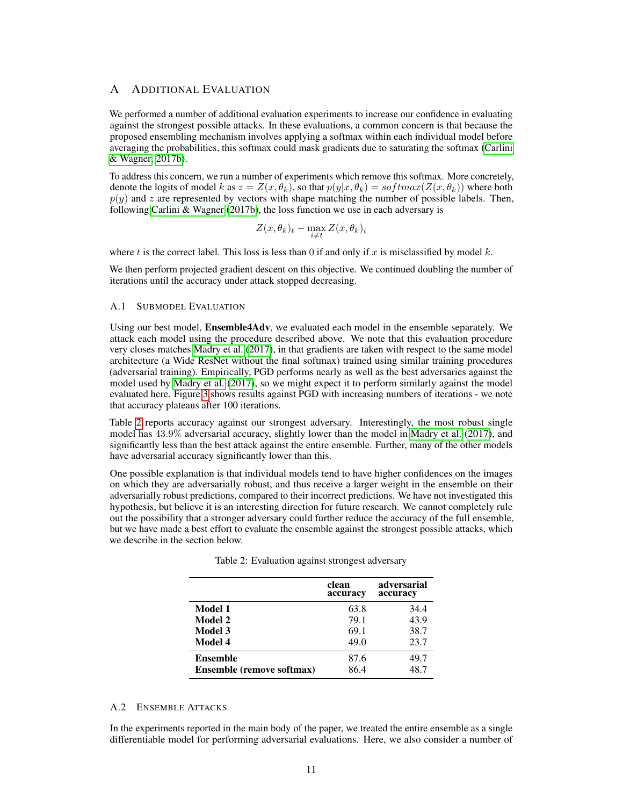# A ADDITIONAL EVALUATION

We performed a number of additional evaluation experiments to increase our confidence in evaluating against the strongest possible attacks. In these evaluations, a common concern is that because the proposed ensembling mechanism involves applying a softmax within each individual model before averaging the probabilities, this softmax could mask gradients due to saturating the softmax [\(Carlini](#page-7-0) [& Wagner, 2017b\)](#page-7-0).

To address this concern, we run a number of experiments which remove this softmax. More concretely, denote the logits of model k as  $z = Z(x, \theta_k)$ , so that  $p(y|x, \theta_k) = softmax(Z(x, \theta_k))$  where both  $p(y)$  and z are represented by vectors with shape matching the number of possible labels. Then, following [Carlini & Wagner](#page-7-0)  $(2017b)$ , the loss function we use in each adversary is

$$
Z(x, \theta_k)_t - \max_{i \neq t} Z(x, \theta_k)_i
$$

where t is the correct label. This loss is less than 0 if and only if x is misclassified by model  $k$ .

We then perform projected gradient descent on this objective. We continued doubling the number of iterations until the accuracy under attack stopped decreasing.

#### A.1 SUBMODEL EVALUATION

Using our best model, **Ensemble4Adv**, we evaluated each model in the ensemble separately. We attack each model using the procedure described above. We note that this evaluation procedure very closes matches [Madry et al.](#page-8-8) [\(2017\)](#page-8-8), in that gradients are taken with respect to the same model architecture (a Wide ResNet without the final softmax) trained using similar training procedures (adversarial training). Empirically, PGD performs nearly as well as the best adversaries against the model used by [Madry et al.](#page-8-8) [\(2017\)](#page-8-8), so we might expect it to perform similarly against the model evaluated here. Figure [3](#page-11-0) shows results against PGD with increasing numbers of iterations - we note that accuracy plateaus after 100 iterations.

Table [2](#page-10-0) reports accuracy against our strongest adversary. Interestingly, the most robust single model has 43.9% adversarial accuracy, slightly lower than the model in [Madry et al.](#page-8-8) [\(2017\)](#page-8-8), and significantly less than the best attack against the entire ensemble. Further, many of the other models have adversarial accuracy significantly lower than this.

<span id="page-10-0"></span>One possible explanation is that individual models tend to have higher confidences on the images on which they are adversarially robust, and thus receive a larger weight in the ensemble on their adversarially robust predictions, compared to their incorrect predictions. We have not investigated this hypothesis, but believe it is an interesting direction for future research. We cannot completely rule out the possibility that a stronger adversary could further reduce the accuracy of the full ensemble, but we have made a best effort to evaluate the ensemble against the strongest possible attacks, which we describe in the section below.

|                                  | clean<br>accuracy | adversarial<br>accuracy |
|----------------------------------|-------------------|-------------------------|
| Model 1                          | 63.8              | 34.4                    |
| Model 2                          | 79.1              | 43.9                    |
| Model 3                          | 69.1              | 38.7                    |
| Model 4                          | 49.0              | 23.7                    |
| <b>Ensemble</b>                  | 87.6              | 49.7                    |
| <b>Ensemble (remove softmax)</b> | 86.4              | 48.7                    |

|  | Table 2: Evaluation against strongest adversary |  |  |  |
|--|-------------------------------------------------|--|--|--|
|--|-------------------------------------------------|--|--|--|

## A.2 ENSEMBLE ATTACKS

In the experiments reported in the main body of the paper, we treated the entire ensemble as a single differentiable model for performing adversarial evaluations. Here, we also consider a number of